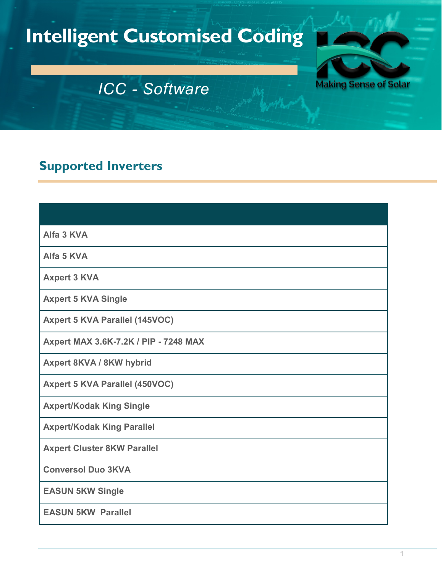# **Intelligent Customised Coding**



## *ICC - Software*

## **Supported Inverters**

| Alfa 3 KVA                            |
|---------------------------------------|
| Alfa 5 KVA                            |
| <b>Axpert 3 KVA</b>                   |
| <b>Axpert 5 KVA Single</b>            |
| <b>Axpert 5 KVA Parallel (145VOC)</b> |
| Axpert MAX 3.6K-7.2K / PIP - 7248 MAX |
| <b>Axpert 8KVA / 8KW hybrid</b>       |
| <b>Axpert 5 KVA Parallel (450VOC)</b> |
| <b>Axpert/Kodak King Single</b>       |
| <b>Axpert/Kodak King Parallel</b>     |
| <b>Axpert Cluster 8KW Parallel</b>    |
| <b>Conversol Duo 3KVA</b>             |
| <b>EASUN 5KW Single</b>               |
| <b>EASUN 5KW Parallel</b>             |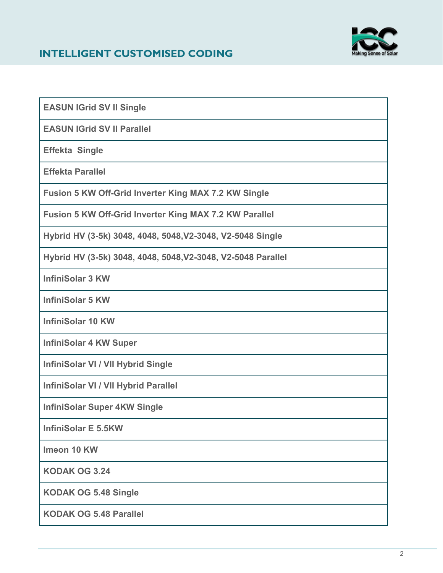#### **INTELLIGENT CUSTOMISED CODING**



**EASUN IGrid SV II Single**

**EASUN IGrid SV II Parallel**

**Effekta Single**

**Effekta Parallel**

**Fusion 5 KW Off-Grid Inverter King MAX 7.2 KW Single**

**Fusion 5 KW Off-Grid Inverter King MAX 7.2 KW Parallel**

**Hybrid HV (3-5k) 3048, 4048, 5048,V2-3048, V2-5048 Single**

**Hybrid HV (3-5k) 3048, 4048, 5048,V2-3048, V2-5048 Parallel**

**InfiniSolar 3 KW**

**InfiniSolar 5 KW**

**InfiniSolar 10 KW**

**InfiniSolar 4 KW Super**

**InfiniSolar VI / VII Hybrid Single**

**InfiniSolar VI / VII Hybrid Parallel**

**InfiniSolar Super 4KW Single**

**InfiniSolar E 5.5KW**

**Imeon 10 KW**

**KODAK OG 3.24**

**KODAK OG 5.48 Single**

**KODAK OG 5.48 Parallel**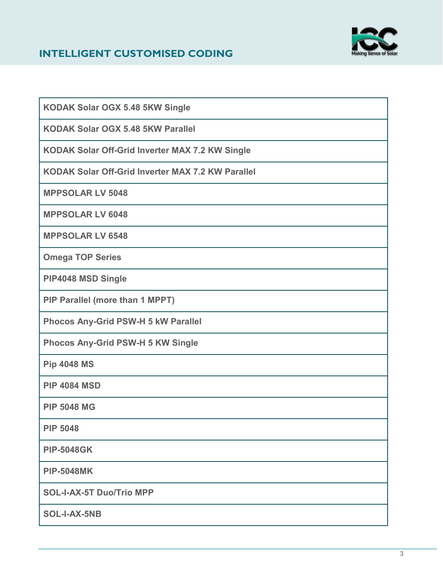#### **INTELLIGENT CUSTOMISED CODING**



| KODAK Solar OGX 5.48 5KW Single                        |
|--------------------------------------------------------|
| <b>KODAK Solar OGX 5.48 5KW Parallel</b>               |
| <b>KODAK Solar Off-Grid Inverter MAX 7.2 KW Single</b> |
| KODAK Solar Off-Grid Inverter MAX 7.2 KW Parallel      |
| <b>MPPSOLAR LV 5048</b>                                |
| <b>MPPSOLAR LV 6048</b>                                |
| <b>MPPSOLAR LV 6548</b>                                |
| <b>Omega TOP Series</b>                                |
| PIP4048 MSD Single                                     |
| PIP Parallel (more than 1 MPPT)                        |
| Phocos Any-Grid PSW-H 5 kW Parallel                    |
| <b>Phocos Any-Grid PSW-H 5 KW Single</b>               |
| <b>Pip 4048 MS</b>                                     |
| <b>PIP 4084 MSD</b>                                    |
| <b>PIP 5048 MG</b>                                     |
| <b>PIP 5048</b>                                        |
| <b>PIP-5048GK</b>                                      |
| <b>PIP-5048MK</b>                                      |
| <b>SOL-I-AX-5T Duo/Trio MPP</b>                        |
| SOL-I-AX-5NB                                           |